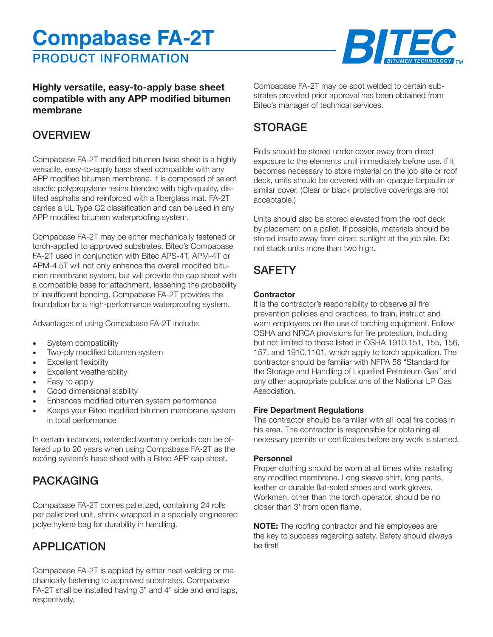# PRODUCT INFORMATION **Compabase FA-2T**



### **Highly versatile, easy-to-apply base sheet compatible with any APP modified bitumen membrane**

## **OVERVIEW**

Compabase FA-2T modified bitumen base sheet is a highly versatile, easy-to-apply base sheet compatible with any APP modified bitumen membrane. It is composed of select atactic polypropylene resins blended with high-quality, distilled asphalts and reinforced with a fiberglass mat. FA-2T carries a UL Type G2 classification and can be used in any APP modified bitumen waterproofing system.

Compabase FA-2T may be either mechanically fastened or torch-applied to approved substrates. Bitec's Compabase FA-2T used in conjunction with Bitec APS-4T, APM-4T or APM-4.5T will not only enhance the overall modified bitumen membrane system, but will provide the cap sheet with a compatible base for attachment, lessening the probability of insufficient bonding. Compabase FA-2T provides the foundation for a high-performance waterproofing system.

Advantages of using Compabase FA-2T include:

- System compatibility
- Two-ply modified bitumen system
- Excellent flexibility
- Excellent weatherability
- Easy to apply
- Good dimensional stability
- Enhances modified bitumen system performance
- Keeps your Bitec modified bitumen membrane system in total performance

In certain instances, extended warranty periods can be offered up to 20 years when using Compabase FA-2T as the roofing system's base sheet with a Bitec APP cap sheet.

# PACKAGING

Compabase FA-2T comes palletized, containing 24 rolls per palletized unit, shrink wrapped in a specially engineered polyethylene bag for durability in handling.

# APPLICATION

Compabase FA-2T is applied by either heat welding or mechanically fastening to approved substrates. Compabase FA-2T shall be installed having 3" and 4" side and end laps, respectively.

Compabase FA-2T may be spot welded to certain substrates provided prior approval has been obtained from Bitec's manager of technical services.

# STORAGE

Rolls should be stored under cover away from direct exposure to the elements until immediately before use. If it becomes necessary to store material on the job site or roof deck, units should be covered with an opaque tarpaulin or similar cover. (Clear or black protective coverings are not acceptable.)

Units should also be stored elevated from the roof deck by placement on a pallet. If possible, materials should be stored inside away from direct sunlight at the job site. Do not stack units more than two high.

# **SAFETY**

#### **Contractor**

It is the contractor's responsibility to observe all fire prevention policies and practices, to train, instruct and warn employees on the use of torching equipment. Follow OSHA and NRCA provisions for fire protection, including but not limited to those listed in OSHA 1910.151, 155, 156, 157, and 1910.1101, which apply to torch application. The contractor should be familiar with NFPA 58 "Standard for the Storage and Handling of Liquefied Petroleum Gas" and any other appropriate publications of the National LP Gas Association.

#### **Fire Department Regulations**

The contractor should be familiar with all local fire codes in his area. The contractor is responsible for obtaining all necessary permits or certificates before any work is started.

#### **Personnel**

Proper clothing should be worn at all times while installing any modified membrane. Long sleeve shirt, long pants, leather or durable flat-soled shoes and work gloves. Workmen, other than the torch operator, should be no closer than 3' from open flame.

**NOTE:** The roofing contractor and his employees are the key to success regarding safety. Safety should always be first!